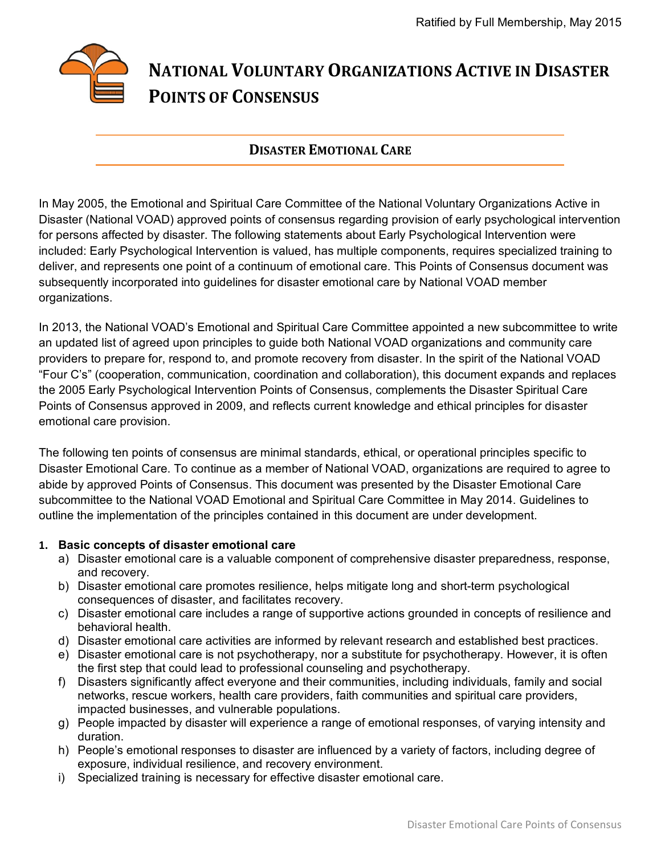# **NATIONAL VOLUNTARY ORGANIZATIONS ACTIVE IN DISASTER POINTS OF CONSENSUS**

# **DISASTER EMOTIONAL CARE**

In May 2005, the Emotional and Spiritual Care Committee of the National Voluntary Organizations Active in Disaster (National VOAD) approved points of consensus regarding provision of early psychological intervention for persons affected by disaster. The following statements about Early Psychological Intervention were included: Early Psychological Intervention is valued, has multiple components, requires specialized training to deliver, and represents one point of a continuum of emotional care. This Points of Consensus document was subsequently incorporated into guidelines for disaster emotional care by National VOAD member organizations.

In 2013, the National VOAD's Emotional and Spiritual Care Committee appointed a new subcommittee to write an updated list of agreed upon principles to guide both National VOAD organizations and community care providers to prepare for, respond to, and promote recovery from disaster. In the spirit of the National VOAD "Four C's" (cooperation, communication, coordination and collaboration), this document expands and replaces the 2005 Early Psychological Intervention Points of Consensus, complements the Disaster Spiritual Care Points of Consensus approved in 2009, and reflects current knowledge and ethical principles for disaster emotional care provision.

The following ten points of consensus are minimal standards, ethical, or operational principles specific to Disaster Emotional Care. To continue as a member of National VOAD, organizations are required to agree to abide by approved Points of Consensus. This document was presented by the Disaster Emotional Care subcommittee to the National VOAD Emotional and Spiritual Care Committee in May 2014. Guidelines to outline the implementation of the principles contained in this document are under development.

# **1. Basic concepts of disaster emotional care**

- a) Disaster emotional care is a valuable component of comprehensive disaster preparedness, response, and recovery.
- b) Disaster emotional care promotes resilience, helps mitigate long and short-term psychological consequences of disaster, and facilitates recovery.
- c) Disaster emotional care includes a range of supportive actions grounded in concepts of resilience and behavioral health.
- d) Disaster emotional care activities are informed by relevant research and established best practices.
- e) Disaster emotional care is not psychotherapy, nor a substitute for psychotherapy. However, it is often the first step that could lead to professional counseling and psychotherapy.
- f) Disasters significantly affect everyone and their communities, including individuals, family and social networks, rescue workers, health care providers, faith communities and spiritual care providers, impacted businesses, and vulnerable populations.
- g) People impacted by disaster will experience a range of emotional responses, of varying intensity and duration.
- h) People's emotional responses to disaster are influenced by a variety of factors, including degree of exposure, individual resilience, and recovery environment.
- i) Specialized training is necessary for effective disaster emotional care.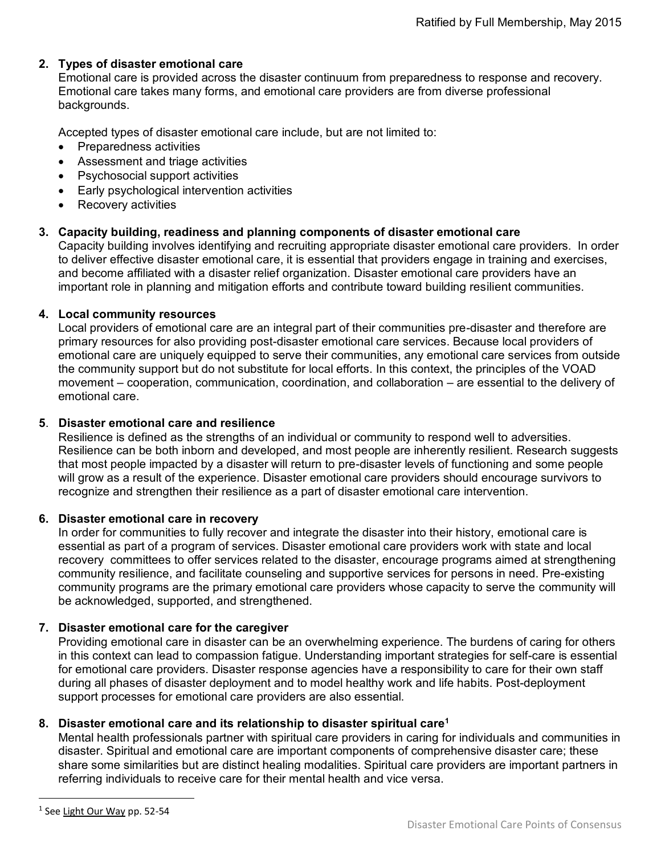# **2. Types of disaster emotional care**

Emotional care is provided across the disaster continuum from preparedness to response and recovery. Emotional care takes many forms, and emotional care providers are from diverse professional backgrounds.

Accepted types of disaster emotional care include, but are not limited to:

- Preparedness activities
- Assessment and triage activities
- Psychosocial support activities
- **Early psychological intervention activities**
- Recovery activities

# **3. Capacity building, readiness and planning components of disaster emotional care**

Capacity building involves identifying and recruiting appropriate disaster emotional care providers. In order to deliver effective disaster emotional care, it is essential that providers engage in training and exercises, and become affiliated with a disaster relief organization. Disaster emotional care providers have an important role in planning and mitigation efforts and contribute toward building resilient communities.

#### **4. Local community resources**

Local providers of emotional care are an integral part of their communities pre-disaster and therefore are primary resources for also providing post-disaster emotional care services. Because local providers of emotional care are uniquely equipped to serve their communities, any emotional care services from outside the community support but do not substitute for local efforts. In this context, the principles of the VOAD movement – cooperation, communication, coordination, and collaboration – are essential to the delivery of emotional care.

#### **5**. **Disaster emotional care and resilience**

Resilience is defined as the strengths of an individual or community to respond well to adversities. Resilience can be both inborn and developed, and most people are inherently resilient. Research suggests that most people impacted by a disaster will return to pre-disaster levels of functioning and some people will grow as a result of the experience. Disaster emotional care providers should encourage survivors to recognize and strengthen their resilience as a part of disaster emotional care intervention.

#### **6. Disaster emotional care in recovery**

In order for communities to fully recover and integrate the disaster into their history, emotional care is essential as part of a program of services. Disaster emotional care providers work with state and local recovery committees to offer services related to the disaster, encourage programs aimed at strengthening community resilience, and facilitate counseling and supportive services for persons in need. Pre-existing community programs are the primary emotional care providers whose capacity to serve the community will be acknowledged, supported, and strengthened.

# **7. Disaster emotional care for the caregiver**

Providing emotional care in disaster can be an overwhelming experience. The burdens of caring for others in this context can lead to compassion fatigue. Understanding important strategies for self-care is essential for emotional care providers. Disaster response agencies have a responsibility to care for their own staff during all phases of disaster deployment and to model healthy work and life habits. Post-deployment support processes for emotional care providers are also essential.

# **8. Disaster emotional care and its relationship to disaster spiritual care<sup>1</sup>**

Mental health professionals partner with spiritual care providers in caring for individuals and communities in disaster. Spiritual and emotional care are important components of comprehensive disaster care; these share some similarities but are distinct healing modalities. Spiritual care providers are important partners in referring individuals to receive care for their mental health and vice versa.

 $\overline{a}$ 

<sup>&</sup>lt;sup>1</sup> See Light Our Way pp. 52-54